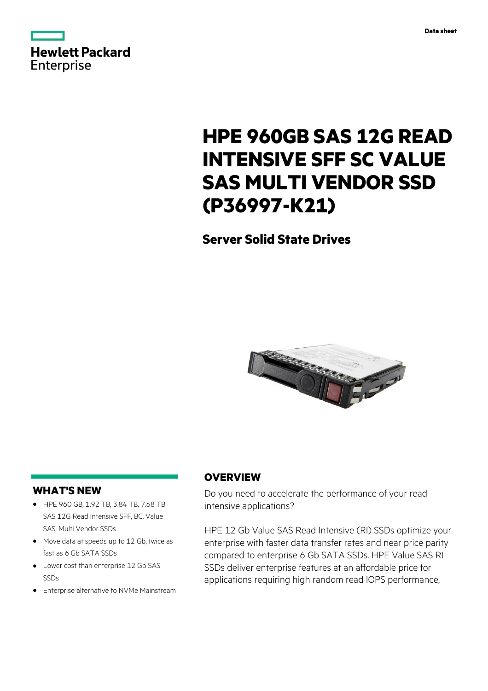

# **HPE 960GB SAS 12G READ INTENSIVE SFF SC VALUE SAS MULTI VENDOR SSD (P36997-K21)**

**Server Solid State Drives**



# **WHAT'S NEW**

- **·** HPE 960 GB, 1.92 TB, 3.84 TB, 7.68 TB SAS 12G Read Intensive SFF, BC, Value SAS, Multi Vendor SSDs
- **·** Move data at speeds up to 12 Gb, twice as fast as 6 Gb SATA SSDs
- **·** Lower cost than enterprise 12 Gb SAS SSDs
- **·** Enterprise alternative to NVMe Mainstream

# **OVERVIEW**

Do you need to accelerate the performance of your read intensive applications?

HPE 12 Gb Value SAS Read Intensive (RI) SSDs optimize your enterprise with faster data transfer rates and near price parity compared to enterprise 6 Gb SATA SSDs. HPE Value SAS RI SSDs deliver enterprise features at an affordable price for applications requiring high random read IOPS performance,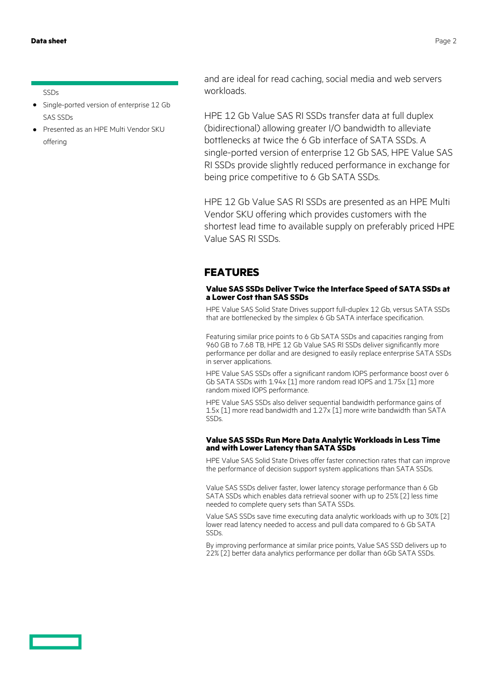#### **Data sheet** Page 2

#### SSDs

- **·** Single-ported version of enterprise 12 Gb SAS SSDs
- **·** Presented as an HPE Multi Vendor SKU offering

and are ideal for read caching, social media and web servers workloads.

HPE 12 Gb Value SAS RI SSDs transfer data at full duplex (bidirectional) allowing greater I/O bandwidth to alleviate bottlenecks at twice the 6 Gb interface of SATA SSDs. A single-ported version of enterprise 12 Gb SAS, HPE Value SAS RI SSDs provide slightly reduced performance in exchange for being price competitive to 6 Gb SATA SSDs.

HPE 12 Gb Value SAS RI SSDs are presented as an HPE Multi Vendor SKU offering which provides customers with the shortest lead time to available supply on preferably priced HPE Value SAS RI SSDs.

### **FEATURES**

#### **Value SAS SSDs Deliver Twice the Interface Speed of SATA SSDs at a Lower Cost than SAS SSDs**

HPE Value SAS Solid State Drives support full-duplex 12 Gb, versus SATA SSDs that are bottlenecked by the simplex 6 Gb SATA interface specification.

Featuring similar price points to 6 Gb SATA SSDs and capacities ranging from 960 GB to 7.68 TB, HPE 12 Gb Value SAS RI SSDs deliver significantly more performance per dollar and are designed to easily replace enterprise SATA SSDs in server applications.

HPE Value SAS SSDs offer a significant random IOPS performance boost over 6 Gb SATA SSDs with 1.94x [1] more random read IOPS and 1.75x [1] more random mixed IOPS performance.

HPE Value SAS SSDs also deliver sequential bandwidth performance gains of 1.5x [1] more read bandwidth and 1.27x [1] more write bandwidth than SATA SSDs.

#### **Value SAS SSDs Run More Data Analytic Workloads in Less Time and with Lower Latency than SATA SSDs**

HPE Value SAS Solid State Drives offer faster connection rates that can improve the performance of decision support system applications than SATA SSDs.

Value SAS SSDs deliver faster, lower latency storage performance than 6 Gb SATA SSDs which enables data retrieval sooner with up to 25% [2] less time needed to complete query sets than SATA SSDs.

Value SAS SSDs save time executing data analytic workloads with up to 30% [2] lower read latency needed to access and pull data compared to 6 Gb SATA SSDs.

By improving performance at similar price points, Value SAS SSD delivers up to 22% [2] better data analytics performance per dollar than 6Gb SATA SSDs.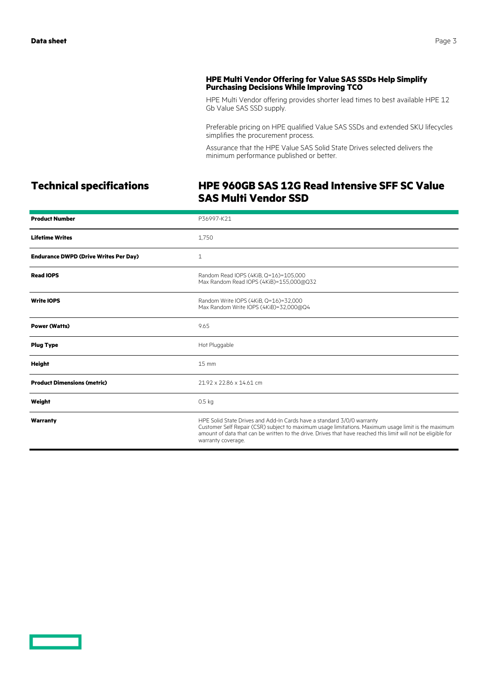#### **HPE Multi Vendor Offering for Value SAS SSDs Help Simplify Purchasing Decisions While Improving TCO**

HPE Multi Vendor offering provides shorter lead times to best available HPE 12 Gb Value SAS SSD supply.

Preferable pricing on HPE qualified Value SAS SSDs and extended SKU lifecycles simplifies the procurement process.

Assurance that the HPE Value SAS Solid State Drives selected delivers the minimum performance published or better.

# **Technical specifications HPE 960GB SAS 12G Read Intensive SFF SC Value SAS Multi Vendor SSD**

| <b>Product Number</b>                        | P36997-K21                                                                                                                                                                                                                                                                                                           |
|----------------------------------------------|----------------------------------------------------------------------------------------------------------------------------------------------------------------------------------------------------------------------------------------------------------------------------------------------------------------------|
| <b>Lifetime Writes</b>                       | 1,750                                                                                                                                                                                                                                                                                                                |
| <b>Endurance DWPD (Drive Writes Per Day)</b> | 1                                                                                                                                                                                                                                                                                                                    |
| <b>Read IOPS</b>                             | Random Read IOPS (4KiB, Q=16)=105,000<br>Max Random Read IOPS (4KiB)=155,000@Q32                                                                                                                                                                                                                                     |
| <b>Write IOPS</b>                            | Random Write IOPS (4KiB, Q=16)=32,000<br>Max Random Write IOPS (4KiB)=32,000@Q4                                                                                                                                                                                                                                      |
| <b>Power (Watts)</b>                         | 9.65                                                                                                                                                                                                                                                                                                                 |
| <b>Plug Type</b>                             | Hot Pluggable                                                                                                                                                                                                                                                                                                        |
| <b>Height</b>                                | $15 \text{ mm}$                                                                                                                                                                                                                                                                                                      |
| <b>Product Dimensions (metric)</b>           | 21.92 x 22.86 x 14.61 cm                                                                                                                                                                                                                                                                                             |
| Weight                                       | 0.5 <sub>kq</sub>                                                                                                                                                                                                                                                                                                    |
| Warranty                                     | HPE Solid State Drives and Add-In Cards have a standard 3/0/0 warranty<br>Customer Self Repair (CSR) subject to maximum usage limitations. Maximum usage limit is the maximum<br>amount of data that can be written to the drive. Drives that have reached this limit will not be eligible for<br>warranty coverage. |